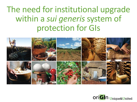### The need for institutional upgrade within a *sui generis* system of protection for GIs



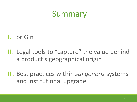### Summary

#### I. oriGIn

II. Legal tools to "capture" the value behind a product's geographical origin

III. Best practices within *sui generis* systems and institutional upgrade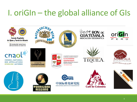## I. oriGIn – the global alliance of GIs

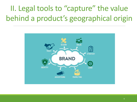### II. Legal tools to "capture" the value behind a product's geographical origin

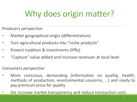## Why does origin matter?

*Producers perspective*

- Market geographical origin (differentiation)
- Turn agricultural products into "niche products"
- Protect tradition & investments (IPRs)
- "Capture" value added and increase revenues at local level

*Consumers perspective*

- More conscious, demanding (information on quality, health, methods of production, environmental concerns, …) and ready to pay premium price for quality
- GIs increase market transparency and reduce transaction costs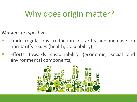## Why does origin matter?

*Markets perspective*

- Trade regulations: reduction of tariffs and increase on non-tariffs issues (health, traceability)
- Efforts towards sustainability (economic, social and environmental components)

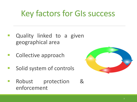### Key factors for GIs success

- Quality linked to a given geographical area
- Collective approach
- Solid system of controls
- Robust protection & enforcement

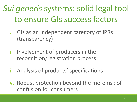# *Sui generis* systems: solid legal tool to ensure GIs success factors

- i. GIs as an independent category of IPRs (transparency)
- ii. Involvement of producers in the recognition/registration process
- iii. Analysis of products' specifications
- iv. Robust protection beyond the mere risk of confusion for consumers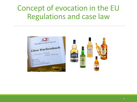### Concept of evocation in the EU Regulations and case law

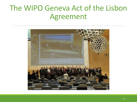### The WIPO Geneva Act of the Lisbon Agreement

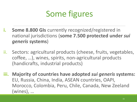### Some figures

- **i. Some 8.800 GIs** currently recognized/registered in national jurisdictions (**some 7.500 protected under** *sui generis* **systems**)
- ii. Sectors: agricultural products (cheese, fruits, vegetables, coffee, …), wines, spirits, non-agricultural products (handicrafts, industrial products)
- **iii. Majority of countries have adopted** *sui generis* **systems:**  EU, Russia, China, India, ASEAN countries, OAPI, Morocco, Colombia, Peru, Chile, Canada, New Zeeland (wines), …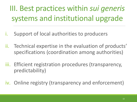III. Best practices within *sui generis*  systems and institutional upgrade

- i. Support of local authorities to producers
- ii. Technical expertise in the evaluation of products' specifications (coordination among authorities)
- iii. Efficient registration procedures (transparency, predictability)
- iv. Online registry (transparency and enforcement)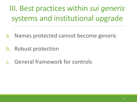III. Best practices within *sui generis*  systems and institutional upgrade

- a. Names protected cannot become generic
- b. Robust protection
- c. General framework for controls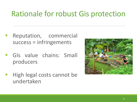### Rationale for robust Gis protection

- Reputation, commercial success = infringements
- GIs value chains: Small producers
- High legal costs cannot be undertaken

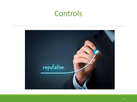### Controls